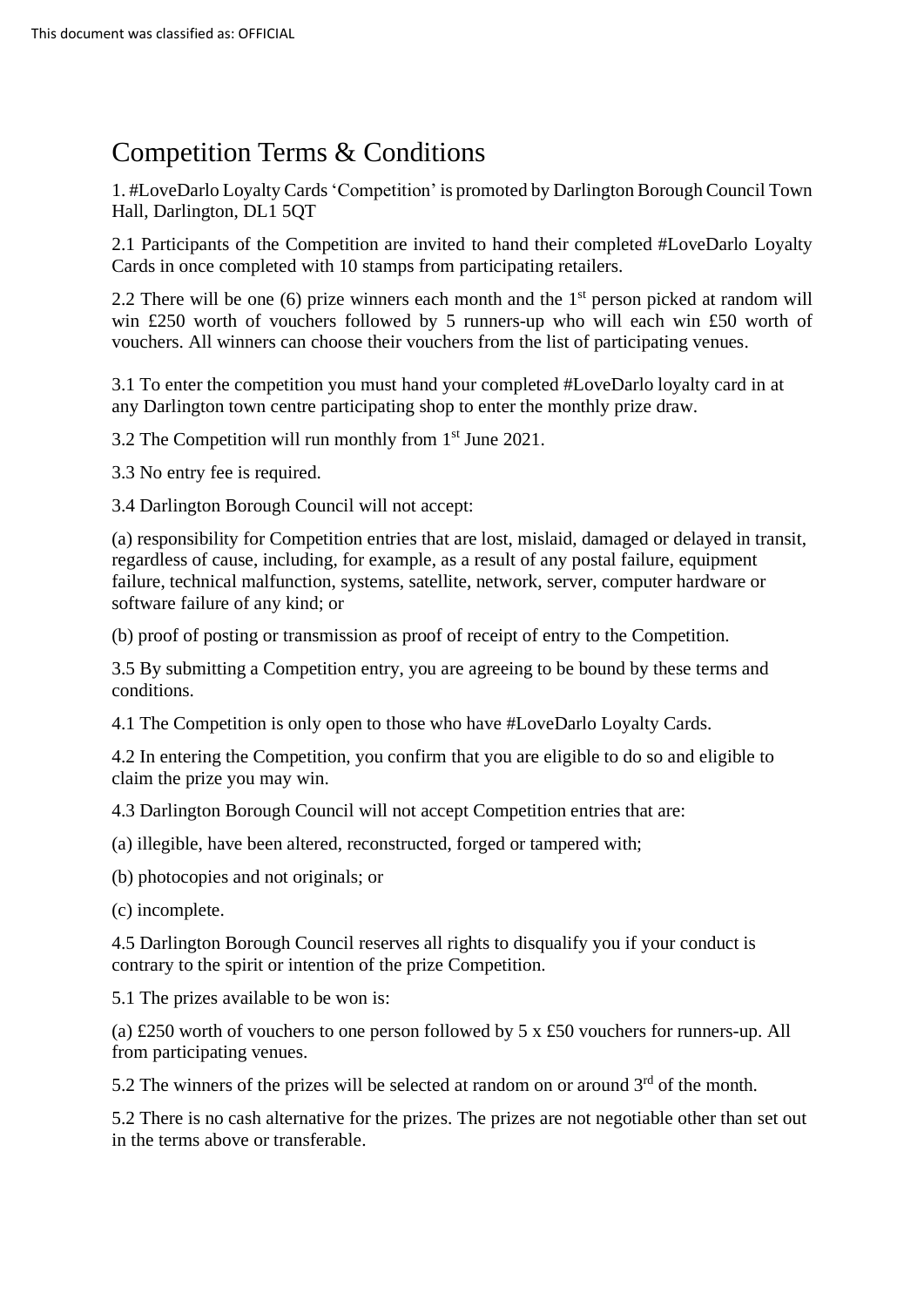## Competition Terms & Conditions

1. #LoveDarlo Loyalty Cards'Competition' is promoted by Darlington Borough Council Town Hall, Darlington, DL1 5QT

2.1 Participants of the Competition are invited to hand their completed #LoveDarlo Loyalty Cards in once completed with 10 stamps from participating retailers.

2.2 There will be one (6) prize winners each month and the  $1<sup>st</sup>$  person picked at random will win £250 worth of vouchers followed by 5 runners-up who will each win £50 worth of vouchers. All winners can choose their vouchers from the list of participating venues.

3.1 To enter the competition you must hand your completed #LoveDarlo loyalty card in at any Darlington town centre participating shop to enter the monthly prize draw.

3.2 The Competition will run monthly from 1 st June 2021.

3.3 No entry fee is required.

3.4 Darlington Borough Council will not accept:

(a) responsibility for Competition entries that are lost, mislaid, damaged or delayed in transit, regardless of cause, including, for example, as a result of any postal failure, equipment failure, technical malfunction, systems, satellite, network, server, computer hardware or software failure of any kind; or

(b) proof of posting or transmission as proof of receipt of entry to the Competition.

3.5 By submitting a Competition entry, you are agreeing to be bound by these terms and conditions.

4.1 The Competition is only open to those who have #LoveDarlo Loyalty Cards.

4.2 In entering the Competition, you confirm that you are eligible to do so and eligible to claim the prize you may win.

4.3 Darlington Borough Council will not accept Competition entries that are:

(a) illegible, have been altered, reconstructed, forged or tampered with;

(b) photocopies and not originals; or

(c) incomplete.

4.5 Darlington Borough Council reserves all rights to disqualify you if your conduct is contrary to the spirit or intention of the prize Competition.

5.1 The prizes available to be won is:

(a) £250 worth of vouchers to one person followed by 5 x £50 vouchers for runners-up. All from participating venues.

5.2 The winners of the prizes will be selected at random on or around  $3<sup>rd</sup>$  of the month.

5.2 There is no cash alternative for the prizes. The prizes are not negotiable other than set out in the terms above or transferable.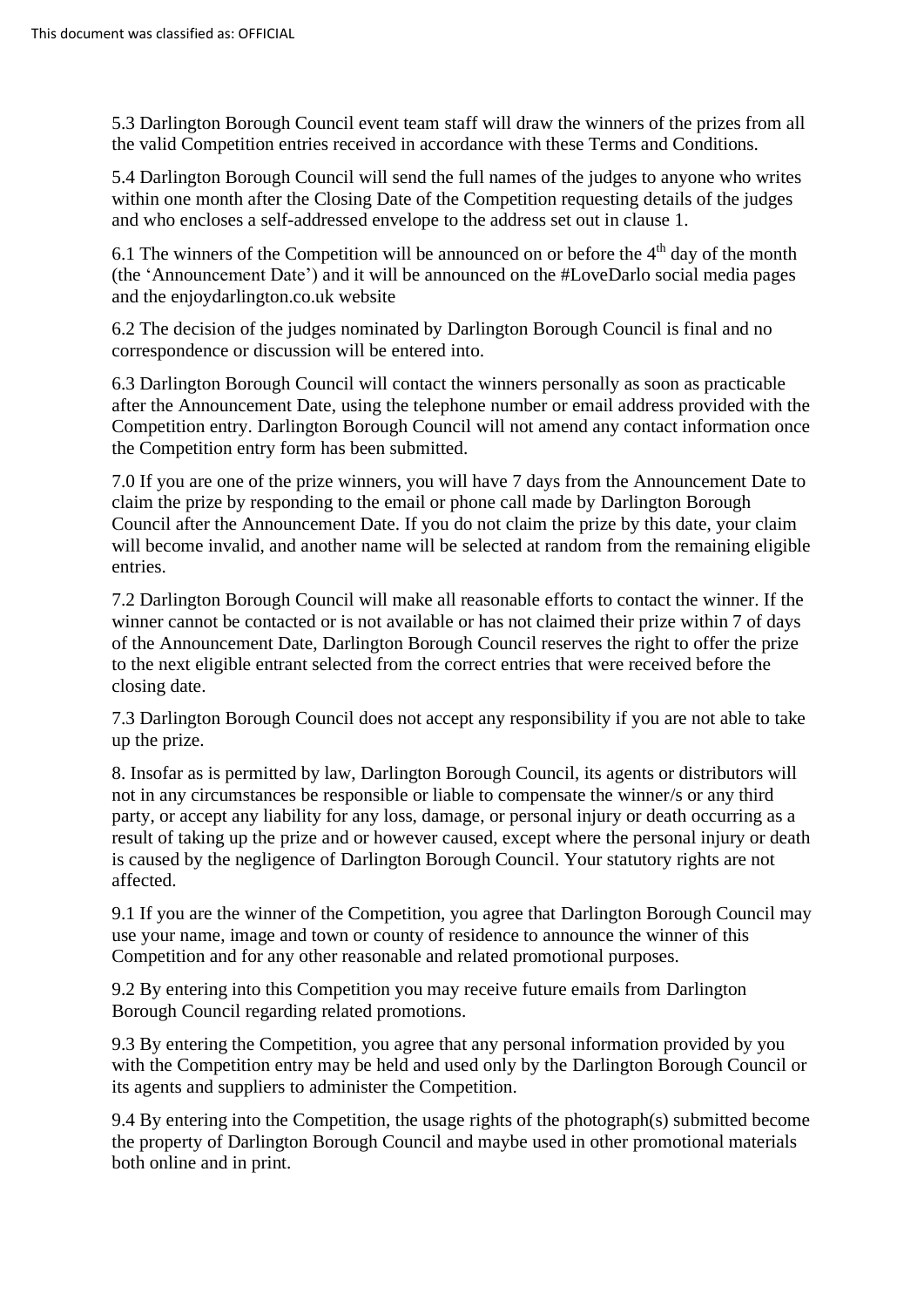5.3 Darlington Borough Council event team staff will draw the winners of the prizes from all the valid Competition entries received in accordance with these Terms and Conditions.

5.4 Darlington Borough Council will send the full names of the judges to anyone who writes within one month after the Closing Date of the Competition requesting details of the judges and who encloses a self-addressed envelope to the address set out in clause 1.

6.1 The winners of the Competition will be announced on or before the  $4<sup>th</sup>$  day of the month (the 'Announcement Date') and it will be announced on the #LoveDarlo social media pages and the enjoydarlington.co.uk website

6.2 The decision of the judges nominated by Darlington Borough Council is final and no correspondence or discussion will be entered into.

6.3 Darlington Borough Council will contact the winners personally as soon as practicable after the Announcement Date, using the telephone number or email address provided with the Competition entry. Darlington Borough Council will not amend any contact information once the Competition entry form has been submitted.

7.0 If you are one of the prize winners, you will have 7 days from the Announcement Date to claim the prize by responding to the email or phone call made by Darlington Borough Council after the Announcement Date. If you do not claim the prize by this date, your claim will become invalid, and another name will be selected at random from the remaining eligible entries.

7.2 Darlington Borough Council will make all reasonable efforts to contact the winner. If the winner cannot be contacted or is not available or has not claimed their prize within 7 of days of the Announcement Date, Darlington Borough Council reserves the right to offer the prize to the next eligible entrant selected from the correct entries that were received before the closing date.

7.3 Darlington Borough Council does not accept any responsibility if you are not able to take up the prize.

8. Insofar as is permitted by law, Darlington Borough Council, its agents or distributors will not in any circumstances be responsible or liable to compensate the winner/s or any third party, or accept any liability for any loss, damage, or personal injury or death occurring as a result of taking up the prize and or however caused, except where the personal injury or death is caused by the negligence of Darlington Borough Council. Your statutory rights are not affected.

9.1 If you are the winner of the Competition, you agree that Darlington Borough Council may use your name, image and town or county of residence to announce the winner of this Competition and for any other reasonable and related promotional purposes.

9.2 By entering into this Competition you may receive future emails from Darlington Borough Council regarding related promotions.

9.3 By entering the Competition, you agree that any personal information provided by you with the Competition entry may be held and used only by the Darlington Borough Council or its agents and suppliers to administer the Competition.

9.4 By entering into the Competition, the usage rights of the photograph(s) submitted become the property of Darlington Borough Council and maybe used in other promotional materials both online and in print.